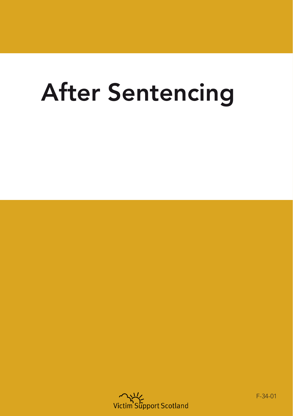# After Sentencing



F-34-01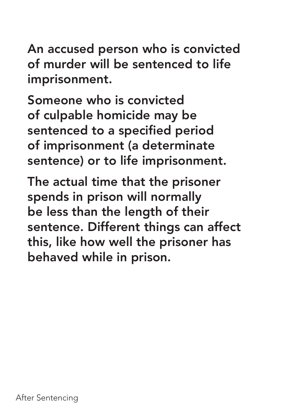An accused person who is convicted of murder will be sentenced to life imprisonment.

Someone who is convicted of culpable homicide may be sentenced to a specified period of imprisonment (a determinate sentence) or to life imprisonment.

The actual time that the prisoner spends in prison will normally be less than the length of their sentence. Different things can affect this, like how well the prisoner has behaved while in prison.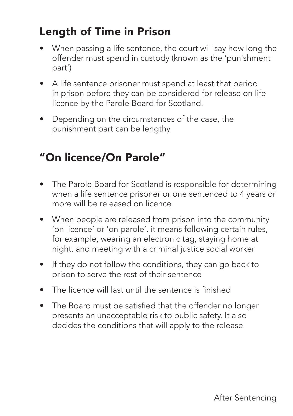## Length of Time in Prison

- When passing a life sentence, the court will say how long the offender must spend in custody (known as the 'punishment part')
- A life sentence prisoner must spend at least that period in prison before they can be considered for release on life licence by the Parole Board for Scotland.
- Depending on the circumstances of the case, the punishment part can be lengthy

## "On licence/On Parole"

- The Parole Board for Scotland is responsible for determining when a life sentence prisoner or one sentenced to 4 years or more will be released on licence
- When people are released from prison into the community 'on licence' or 'on parole', it means following certain rules, for example, wearing an electronic tag, staying home at night, and meeting with a criminal justice social worker
- If they do not follow the conditions, they can go back to prison to serve the rest of their sentence
- The licence will last until the sentence is finished
- The Board must be satisfied that the offender no longer presents an unacceptable risk to public safety. It also decides the conditions that will apply to the release